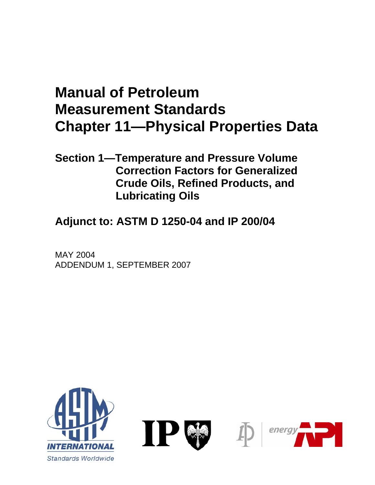# **Manual of Petroleum Measurement Standards Chapter 11—Physical Properties Data**

### **Section 1—Temperature and Pressure Volume Correction Factors for Generalized Crude Oils, Refined Products, and Lubricating Oils**

**Adjunct to: ASTM D 1250-04 and IP 200/04** 

MAY 2004 ADDENDUM 1, SEPTEMBER 2007

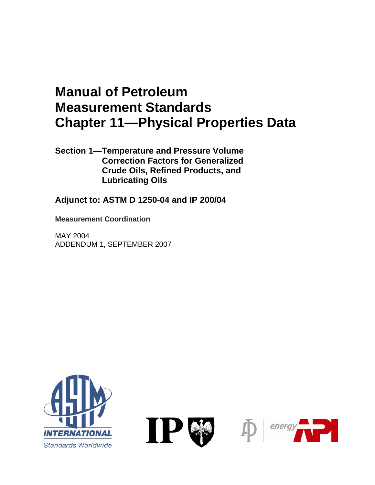## **Manual of Petroleum Measurement Standards Chapter 11—Physical Properties Data**

**Section 1—Temperature and Pressure Volume Correction Factors for Generalized Crude Oils, Refined Products, and Lubricating Oils** 

**Adjunct to: ASTM D 1250-04 and IP 200/04** 

**Measurement Coordination** 

MAY 2004 ADDENDUM 1, SEPTEMBER 2007





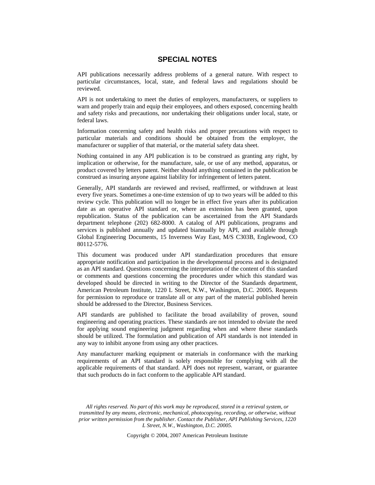#### **SPECIAL NOTES**

API publications necessarily address problems of a general nature. With respect to particular circumstances, local, state, and federal laws and regulations should be reviewed.

API is not undertaking to meet the duties of employers, manufacturers, or suppliers to warn and properly train and equip their employees, and others exposed, concerning health and safety risks and precautions, nor undertaking their obligations under local, state, or federal laws.

Information concerning safety and health risks and proper precautions with respect to particular materials and conditions should be obtained from the employer, the manufacturer or supplier of that material, or the material safety data sheet.

Nothing contained in any API publication is to be construed as granting any right, by implication or otherwise, for the manufacture, sale, or use of any method, apparatus, or product covered by letters patent. Neither should anything contained in the publication be construed as insuring anyone against liability for infringement of letters patent.

Generally, API standards are reviewed and revised, reaffirmed, or withdrawn at least every five years. Sometimes a one-time extension of up to two years will be added to this review cycle. This publication will no longer be in effect five years after its publication date as an operative API standard or, where an extension has been granted, upon republication. Status of the publication can be ascertained from the API Standards department telephone (202) 682-8000. A catalog of API publications, programs and services is published annually and updated biannually by API, and available through Global Engineering Documents, 15 Inverness Way East, M/S C303B, Englewood, CO 80112-5776.

This document was produced under API standardization procedures that ensure appropriate notification and participation in the developmental process and is designated as an API standard. Questions concerning the interpretation of the content of this standard or comments and questions concerning the procedures under which this standard was developed should be directed in writing to the Director of the Standards department, American Petroleum Institute, 1220 L Street, N.W., Washington, D.C. 20005. Requests for permission to reproduce or translate all or any part of the material published herein should be addressed to the Director, Business Services.

API standards are published to facilitate the broad availability of proven, sound engineering and operating practices. These standards are not intended to obviate the need for applying sound engineering judgment regarding when and where these standards should be utilized. The formulation and publication of API standards is not intended in any way to inhibit anyone from using any other practices.

Any manufacturer marking equipment or materials in conformance with the marking requirements of an API standard is solely responsible for complying with all the applicable requirements of that standard. API does not represent, warrant, or guarantee that such products do in fact conform to the applicable API standard.

*All rights reserved. No part of this work may be reproduced, stored in a retrieval system, or transmitted by any means, electronic, mechanical, photocopying, recording, or otherwise, without prior written permission from the publisher. Contact the Publisher, API Publishing Services, 1220 L Street, N.W., Washington, D.C. 20005.* 

Copyright © 2004, 2007 American Petroleum Institute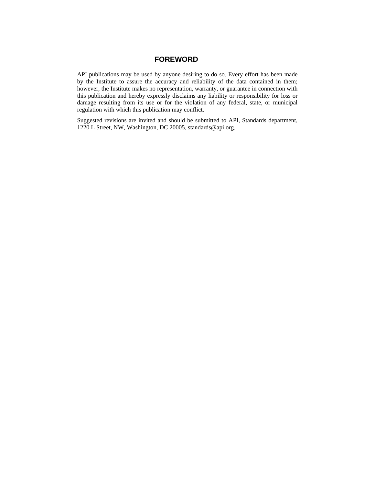#### **FOREWORD**

API publications may be used by anyone desiring to do so. Every effort has been made by the Institute to assure the accuracy and reliability of the data contained in them; however, the Institute makes no representation, warranty, or guarantee in connection with this publication and hereby expressly disclaims any liability or responsibility for loss or damage resulting from its use or for the violation of any federal, state, or municipal regulation with which this publication may conflict.

Suggested revisions are invited and should be submitted to API, Standards department, 1220 L Street, NW, Washington, DC 20005, standards@api.org.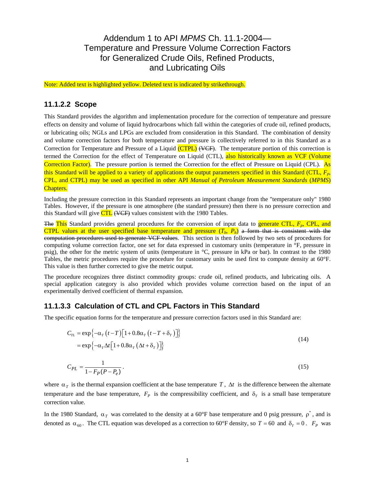### Addendum 1 to API *MPMS* Ch. 11.1-2004— Temperature and Pressure Volume Correction Factors for Generalized Crude Oils, Refined Products, and Lubricating Oils

Note: Added text is highlighted yellow. Deleted text is indicated by strikethrough.

#### **11.1.2.2 Scope**

This Standard provides the algorithm and implementation procedure for the correction of temperature and pressure effects on density and volume of liquid hydrocarbons which fall within the categories of crude oil, refined products, or lubricating oils; NGLs and LPGs are excluded from consideration in this Standard. The combination of density and volume correction factors for both temperature and pressure is collectively referred to in this Standard as a Correction for Temperature and Pressure of a Liquid (CTPL) (VCF). The temperature portion of this correction is termed the Correction for the effect of Temperature on Liquid (CTL), also historically known as VCF (Volume Correction Factor). The pressure portion is termed the Correction for the effect of Pressure on Liquid (CPL). As this Standard will be applied to a variety of applications the output parameters specified in this Standard (CTL,  $F_p$ , CPL, and CTPL) may be used as specified in other API *Manual of Petroleum Measurement Standards* (*MPMS*) Chapters.

Including the pressure correction in this Standard represents an important change from the "temperature only" 1980 Tables. However, if the pressure is one atmosphere (the standard pressure) then there is no pressure correction and this Standard will give  $\frac{CTL}{CFL}$  (VCF) values consistent with the 1980 Tables.

The This Standard provides general procedures for the conversion of input data to generate CTL,  $F_p$ , CPL, and CTPL values at the user specified base temperature and pressure  $(T_b, P_b)$  a form that is consistent with the computation procedures used to generate VCF values. This section is then followed by two sets of procedures for computing volume correction factor, one set for data expressed in customary units (temperature in °F, pressure in psig), the other for the metric system of units (temperature in °C, pressure in kPa or bar). In contrast to the 1980 Tables, the metric procedures require the procedure for customary units be used first to compute density at 60°F. This value is then further corrected to give the metric output.

The procedure recognizes three distinct commodity groups: crude oil, refined products, and lubricating oils. A special application category is also provided which provides volume correction based on the input of an experimentally derived coefficient of thermal expansion.

#### **11.1.3.3 Calculation of CTL and CPL Factors in This Standard**

The specific equation forms for the temperature and pressure correction factors used in this Standard are:

$$
C_{TL} = \exp\{-\alpha_T \left(t - T\right) \left[1 + 0.8\alpha_T \left(t - T + \delta_T\right)\right]\}
$$
  
= 
$$
\exp\{-\alpha_T \Delta t \left[1 + 0.8\alpha_T \left(\Delta t + \delta_T\right)\right]\}
$$
 (14)

$$
C_{PL} = \frac{1}{1 - F_P(P - P_e)}.
$$
\n(15)

where  $\alpha_T$  is the thermal expansion coefficient at the base temperature T,  $\Delta t$  is the difference between the alternate temperature and the base temperature,  $F_p$  is the compressibility coefficient, and  $\delta_T$  is a small base temperature correction value.

In the 1980 Standard,  $\alpha_T$  was correlated to the density at a 60°F base temperature and 0 psig pressure,  $\rho^*$ , and is denoted as  $\alpha_{60}$ . The CTL equation was developed as a correction to 60°F density, so  $T = 60$  and  $\delta_T = 0$ .  $F_P$  was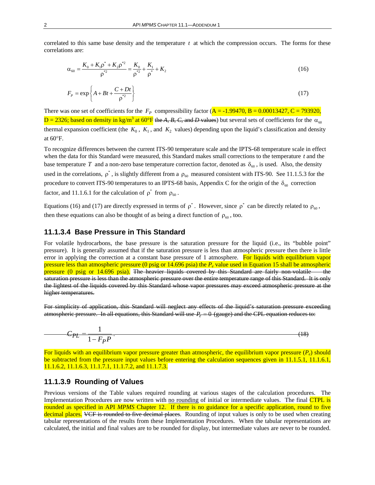correlated to this same base density and the temperature *t* at which the compression occurs. The forms for these correlations are:

$$
\alpha_{60} = \frac{K_0 + K_1 \rho^* + K_2 \rho^{*2}}{\rho^{*2}} = \frac{K_0}{\rho^{*2}} + \frac{K_1}{\rho^*} + K_2
$$
\n(16)

$$
F_p = \exp\left\{A + Bt + \frac{C + Dt}{\rho^{*2}}\right\}
$$
\n(17)

There was one set of coefficients for the  $F_p$  compressibility factor ( $\overline{A} = -1.99470$ ,  $\overline{B} = 0.00013427$ ,  $\overline{C} = 793920$ ,  $D = 2326$ ; based on density in kg/m<sup>3</sup> at 60°F the A, B, C, and D values) but several sets of coefficients for the  $\alpha_{60}$ thermal expansion coefficient (the  $K_0$ ,  $K_1$ , and  $K_2$  values) depending upon the liquid's classification and density at 60°F.

To recognize differences between the current ITS-90 temperature scale and the IPTS-68 temperature scale in effect when the data for this Standard were measured, this Standard makes small corrections to the temperature  $t$  and the base temperature T and a non-zero base temperature correction factor, denoted as  $\delta_{60}$ , is used. Also, the density used in the correlations,  $\rho^*$ , is slightly different from a  $\rho_{60}$  measured consistent with ITS-90. See 11.1.5.3 for the procedure to convert ITS-90 temperatures to an IPTS-68 basis, Appendix C for the origin of the  $\delta_{60}$  correction factor, and 11.1.6.1 for the calculation of  $\rho^*$  from  $\rho_{60}$ .

Equations (16) and (17) are directly expressed in terms of  $\rho^*$ . However, since  $\rho^*$  can be directly related to  $\rho_{60}$ , then these equations can also be thought of as being a direct function of  $\rho_{60}$ , too.

#### **11.1.3.4 Base Pressure in This Standard**

For volatile hydrocarbons, the base pressure is the saturation pressure for the liquid (i.e., its "bubble point" pressure). It is generally assumed that if the saturation pressure is less than atmospheric pressure then there is little error in applying the correction at a constant base pressure of 1 atmosphere. For liquids with equilibrium vapor pressure less than atmospheric pressure (0 psig or 14.696 psia) the *Pe* value used in Equation 15 shall be atmospheric pressure (0 psig or 14.696 psia). The heavier liquids covered by this Standard are fairly non-volatile the saturation pressure is less than the atmospheric pressure over the entire temperature range of this Standard. It is only the lightest of the liquids covered by this Standard whose vapor pressures may exceed atmospheric pressure at the higher temperatures.

For simplicity of application, this Standard will neglect any effects of the liquid's saturation pressure exceeding atmospheric pressure. In all equations, this Standard will use  $P_e = 0$  (gauge) and the CPL equation reduces to:

$$
C_{PL} = \frac{1}{1 - F_P P} \tag{18}
$$

For liquids with an equilibrium vapor pressure greater than atmospheric, the equilibrium vapor pressure (*Pe*) should be subtracted from the pressure input values before entering the calculation sequences given in 11.1.5.1, 11.1.6.1, 11.1.6.2, 11.1.6.3, 11.1.7.1, 11.1.7.2, and 11.1.7.3.

#### **11.1.3.9 Rounding of Values**

Previous versions of the Table values required rounding at various stages of the calculation procedures. The Implementation Procedures are now written with no rounding of initial or intermediate values. The final CTPL is rounded as specified in API *MPMS* Chapter 12. If there is no guidance for a specific application, round to five decimal places. VCF is rounded to five decimal places. Rounding of input values is only to be used when creating tabular representations of the results from these Implementation Procedures. When the tabular representations are calculated, the initial and final values are to be rounded for display, but intermediate values are never to be rounded.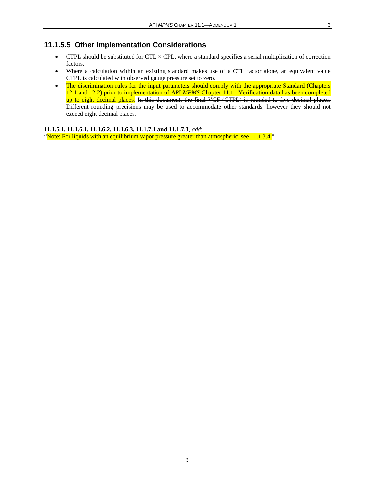#### **11.1.5.5 Other Implementation Considerations**

- CTPL should be substituted for CTL  $\times$  CPL, where a standard specifies a serial multiplication of correction factors.
- Where a calculation within an existing standard makes use of a CTL factor alone, an equivalent value CTPL is calculated with observed gauge pressure set to zero.
- The discrimination rules for the input parameters should comply with the appropriate Standard (Chapters 12.1 and 12.2) prior to implementation of API *MPMS* Chapter 11.1. Verification data has been completed up to eight decimal places. In this document, the final VCF (CTPL) is rounded to five decimal places. Different rounding precisions may be used to accommodate other standards, however they should not exceed eight decimal places.

**11.1.5.1, 11.1.6.1, 11.1.6.2, 11.1.6.3, 11.1.7.1 and 11.1.7.3**, *add*:

"Note: For liquids with an equilibrium vapor pressure greater than atmospheric, see 11.1.3.4."